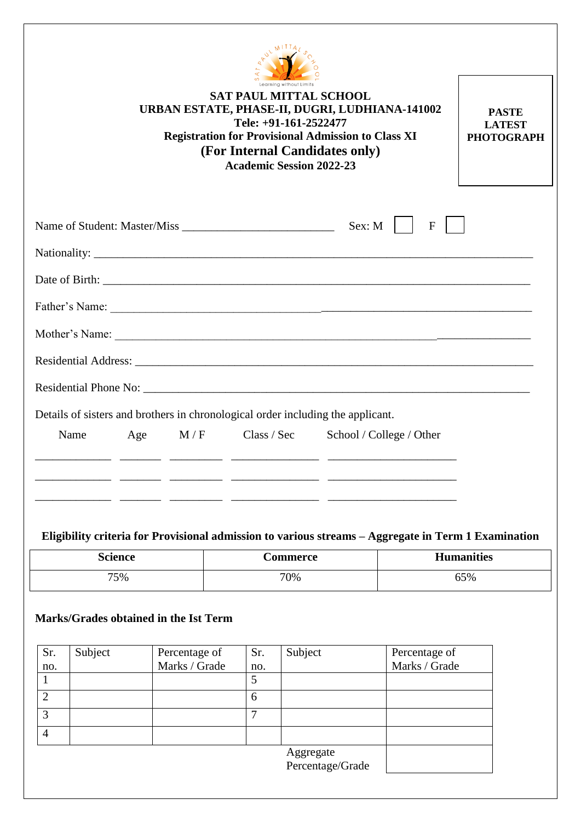

 $\Gamma$ 

|      |     |     | Learning without Limits<br><b>SAT PAUL MITTAL SCHOOL</b><br>Tele: +91-161-2522477<br>(For Internal Candidates only)<br><b>Academic Session 2022-23</b> | URBAN ESTATE, PHASE-II, DUGRI, LUDHIANA-141002<br><b>Registration for Provisional Admission to Class XI</b>                                                                                                                    | <b>PASTE</b><br><b>LATEST</b><br><b>PHOTOGRAPH</b> |
|------|-----|-----|--------------------------------------------------------------------------------------------------------------------------------------------------------|--------------------------------------------------------------------------------------------------------------------------------------------------------------------------------------------------------------------------------|----------------------------------------------------|
|      |     |     |                                                                                                                                                        | Sex: M<br>$\mathbf{F}$                                                                                                                                                                                                         |                                                    |
|      |     |     |                                                                                                                                                        |                                                                                                                                                                                                                                |                                                    |
|      |     |     |                                                                                                                                                        |                                                                                                                                                                                                                                |                                                    |
|      |     |     |                                                                                                                                                        |                                                                                                                                                                                                                                |                                                    |
|      |     |     |                                                                                                                                                        | Mother's Name: Notice and the same contract of the same contract of the same contract of the same contract of the same contract of the same contract of the same contract of the same contract of the same contract of the sam |                                                    |
|      |     |     |                                                                                                                                                        |                                                                                                                                                                                                                                |                                                    |
|      |     |     |                                                                                                                                                        |                                                                                                                                                                                                                                |                                                    |
|      |     |     | Details of sisters and brothers in chronological order including the applicant.                                                                        |                                                                                                                                                                                                                                |                                                    |
| Name | Age | M/F | Class / Sec                                                                                                                                            | School / College / Other                                                                                                                                                                                                       |                                                    |
|      |     |     |                                                                                                                                                        |                                                                                                                                                                                                                                |                                                    |
|      |     |     |                                                                                                                                                        |                                                                                                                                                                                                                                |                                                    |
|      |     |     |                                                                                                                                                        |                                                                                                                                                                                                                                |                                                    |

## **Eligibility criteria for Provisional admission to various streams – Aggregate in Term 1 Examination**

| <b>Science</b> | Commerce | <b>Humanities</b> |
|----------------|----------|-------------------|
| 75%            | 70%      | 65%               |

## **Marks/Grades obtained in the Ist Term**

| Sr.            | Subject | Percentage of | Sr. | Subject                       | Percentage of |
|----------------|---------|---------------|-----|-------------------------------|---------------|
| no.            |         | Marks / Grade | no. |                               | Marks / Grade |
|                |         |               |     |                               |               |
| $\overline{2}$ |         |               | 6   |                               |               |
| 3              |         |               |     |                               |               |
| 4              |         |               |     |                               |               |
|                |         |               |     | Aggregate<br>Percentage/Grade |               |